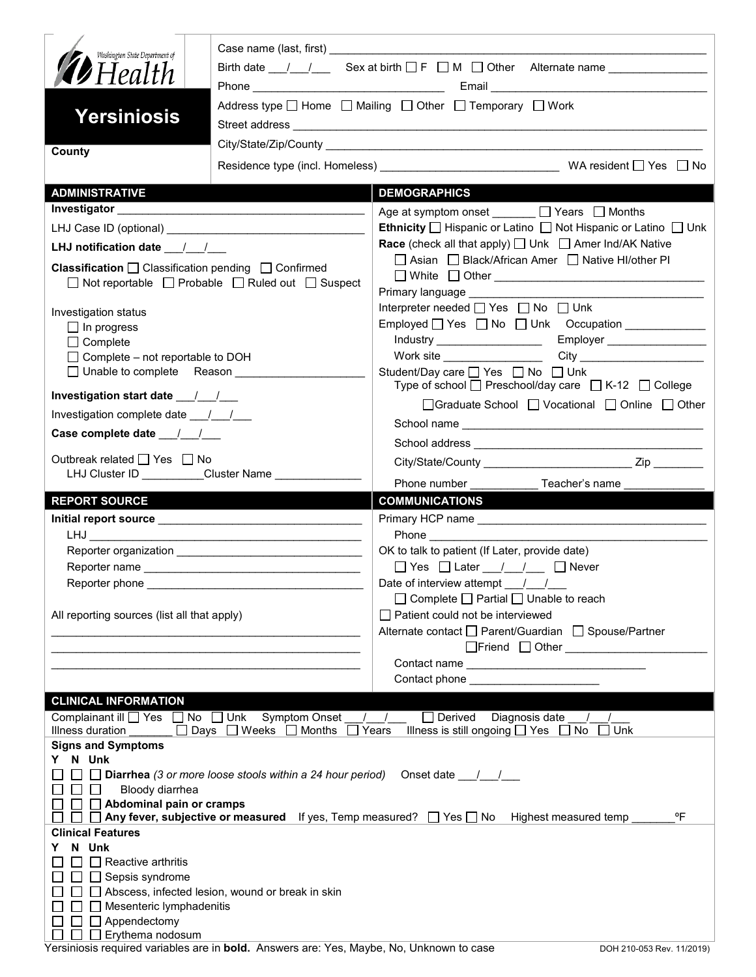| Washington State Department of<br><b>D</b> Health<br><b>Yersiniosis</b>                                                                       | Address type $\Box$ Home $\Box$ Mailing $\Box$ Other $\Box$ Temporary $\Box$ Work |                                                                                                            |  |  |  |
|-----------------------------------------------------------------------------------------------------------------------------------------------|-----------------------------------------------------------------------------------|------------------------------------------------------------------------------------------------------------|--|--|--|
| County                                                                                                                                        |                                                                                   |                                                                                                            |  |  |  |
| <b>ADMINISTRATIVE</b>                                                                                                                         |                                                                                   | <b>DEMOGRAPHICS</b>                                                                                        |  |  |  |
|                                                                                                                                               |                                                                                   | Age at symptom onset ______ □ Years □ Months                                                               |  |  |  |
|                                                                                                                                               |                                                                                   | <b>Ethnicity</b> $\Box$ Hispanic or Latino $\Box$ Not Hispanic or Latino $\Box$ Unk                        |  |  |  |
|                                                                                                                                               |                                                                                   | <b>Race</b> (check all that apply) $\Box$ Unk $\Box$ Amer Ind/AK Native                                    |  |  |  |
| <b>Classification</b> $\Box$ Classification pending $\Box$ Confirmed<br>$\Box$ Not reportable $\Box$ Probable $\Box$ Ruled out $\Box$ Suspect |                                                                                   | □ Asian □ Black/African Amer □ Native HI/other PI<br>Primary language ___________                          |  |  |  |
|                                                                                                                                               |                                                                                   | Interpreter needed $\Box$ Yes $\Box$ No $\Box$ Unk                                                         |  |  |  |
| Investigation status<br>$\Box$ In progress                                                                                                    |                                                                                   | Employed $\Box$ Yes $\Box$ No $\Box$ Unk Occupation                                                        |  |  |  |
| $\Box$ Complete                                                                                                                               |                                                                                   | Employer __________________<br>Industry ____________________                                               |  |  |  |
| $\Box$ Complete – not reportable to DOH                                                                                                       |                                                                                   | Work site ___________________                                                                              |  |  |  |
| □ Unable to complete Reason                                                                                                                   |                                                                                   | Student/Day care □ Yes □ No □ Unk<br>Type of school $\Box$ Preschool/day care $\Box$ K-12 $\Box$ College   |  |  |  |
|                                                                                                                                               |                                                                                   | □Graduate School □ Vocational □ Online □ Other                                                             |  |  |  |
| Investigation complete date 11                                                                                                                |                                                                                   |                                                                                                            |  |  |  |
|                                                                                                                                               |                                                                                   |                                                                                                            |  |  |  |
| Outbreak related □ Yes □ No<br>LHJ Cluster ID _________Cluster Name ______________                                                            |                                                                                   |                                                                                                            |  |  |  |
| Phone number<br>Teacher's name                                                                                                                |                                                                                   |                                                                                                            |  |  |  |
|                                                                                                                                               |                                                                                   |                                                                                                            |  |  |  |
| <b>REPORT SOURCE</b>                                                                                                                          |                                                                                   | <b>COMMUNICATIONS</b>                                                                                      |  |  |  |
|                                                                                                                                               |                                                                                   |                                                                                                            |  |  |  |
|                                                                                                                                               |                                                                                   |                                                                                                            |  |  |  |
|                                                                                                                                               |                                                                                   | OK to talk to patient (If Later, provide date)                                                             |  |  |  |
| Reporter phone                                                                                                                                |                                                                                   | Date of interview attempt / /                                                                              |  |  |  |
| All reporting sources (list all that apply)                                                                                                   |                                                                                   | $\Box$ Complete $\Box$ Partial $\Box$ Unable to reach<br>Patient could not be interviewed                  |  |  |  |
|                                                                                                                                               |                                                                                   | Alternate contact □ Parent/Guardian □ Spouse/Partner                                                       |  |  |  |
|                                                                                                                                               |                                                                                   | □Friend □ Other <u>_______________________</u>                                                             |  |  |  |
|                                                                                                                                               |                                                                                   |                                                                                                            |  |  |  |
|                                                                                                                                               |                                                                                   |                                                                                                            |  |  |  |
| <b>CLINICAL INFORMATION</b>                                                                                                                   |                                                                                   |                                                                                                            |  |  |  |
| Complainant ill Ves No Unk                                                                                                                    | <b>Symptom Onset</b>                                                              | $\Box$ Derived Diagnosis date                                                                              |  |  |  |
| Illness duration                                                                                                                              | □ Days □ Weeks □ Months                                                           | Illness is still ongoing $\Box$ Yes $\Box$ No<br>Years<br>$\Box$ Unk                                       |  |  |  |
| <b>Signs and Symptoms</b><br>N Unk                                                                                                            |                                                                                   |                                                                                                            |  |  |  |
|                                                                                                                                               | $\Box$ Diarrhea (3 or more loose stools within a 24 hour period)                  | Onset date $\frac{\mu}{\sigma}$                                                                            |  |  |  |
| Bloody diarrhea                                                                                                                               |                                                                                   |                                                                                                            |  |  |  |
| Abdominal pain or cramps                                                                                                                      |                                                                                   | °F                                                                                                         |  |  |  |
| <b>Clinical Features</b>                                                                                                                      |                                                                                   | $\Box$ Any fever, subjective or measured If yes, Temp measured? $\Box$ Yes $\Box$ No Highest measured temp |  |  |  |
| N Unk                                                                                                                                         |                                                                                   |                                                                                                            |  |  |  |
| Reactive arthritis                                                                                                                            |                                                                                   |                                                                                                            |  |  |  |
| Sepsis syndrome                                                                                                                               |                                                                                   |                                                                                                            |  |  |  |
|                                                                                                                                               | Abscess, infected lesion, wound or break in skin                                  |                                                                                                            |  |  |  |
| Mesenteric lymphadenitis<br>Appendectomy                                                                                                      |                                                                                   |                                                                                                            |  |  |  |

Yersiniosis required variables are in **bold.** Answers are: Yes, Maybe, No, Unknown to case DOH 210-053 Rev. 11/2019)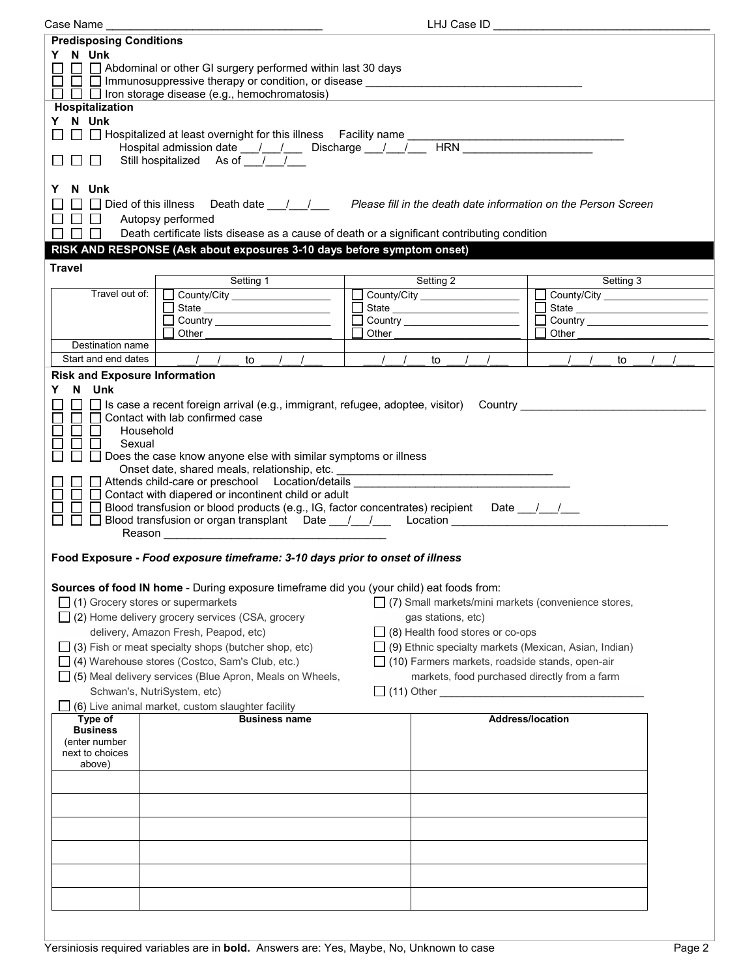| LHJ Case ID _<br>Case Name _                                                                                                |                                                                                                                                                                                                                            |       |                                                        |                         |                                            |           |  |  |
|-----------------------------------------------------------------------------------------------------------------------------|----------------------------------------------------------------------------------------------------------------------------------------------------------------------------------------------------------------------------|-------|--------------------------------------------------------|-------------------------|--------------------------------------------|-----------|--|--|
| <b>Predisposing Conditions</b>                                                                                              |                                                                                                                                                                                                                            |       |                                                        |                         |                                            |           |  |  |
| Y N Unk                                                                                                                     |                                                                                                                                                                                                                            |       |                                                        |                         |                                            |           |  |  |
|                                                                                                                             | $\Box$ Abdominal or other GI surgery performed within last 30 days                                                                                                                                                         |       |                                                        |                         |                                            |           |  |  |
| $\Box$ Immunosuppressive therapy or condition, or disease $\Box$                                                            |                                                                                                                                                                                                                            |       |                                                        |                         |                                            |           |  |  |
|                                                                                                                             | $\Box$ $\Box$ Iron storage disease (e.g., hemochromatosis)                                                                                                                                                                 |       |                                                        |                         |                                            |           |  |  |
| Hospitalization                                                                                                             |                                                                                                                                                                                                                            |       |                                                        |                         |                                            |           |  |  |
| Y N Unk                                                                                                                     |                                                                                                                                                                                                                            |       |                                                        |                         |                                            |           |  |  |
|                                                                                                                             | □ □ Hospitalized at least overnight for this illness Facility name __<br>pspitalized at least overnight for this illness Facility name<br>Hospital admission date ___/ __/ ___ Discharge __/ __/ __ HRN __________________ |       |                                                        |                         |                                            |           |  |  |
| $\Box$<br>$\Box$                                                                                                            | Still hospitalized As of /                                                                                                                                                                                                 |       |                                                        |                         |                                            |           |  |  |
|                                                                                                                             |                                                                                                                                                                                                                            |       |                                                        |                         |                                            |           |  |  |
| N Unk<br>Y                                                                                                                  |                                                                                                                                                                                                                            |       |                                                        |                         |                                            |           |  |  |
|                                                                                                                             |                                                                                                                                                                                                                            |       |                                                        |                         |                                            |           |  |  |
| $\Box$<br>$\blacksquare$                                                                                                    | Autopsy performed                                                                                                                                                                                                          |       |                                                        |                         |                                            |           |  |  |
| $\Box$<br>ΙI                                                                                                                | Death certificate lists disease as a cause of death or a significant contributing condition                                                                                                                                |       |                                                        |                         |                                            |           |  |  |
|                                                                                                                             | RISK AND RESPONSE (Ask about exposures 3-10 days before symptom onset)                                                                                                                                                     |       |                                                        |                         |                                            |           |  |  |
|                                                                                                                             |                                                                                                                                                                                                                            |       |                                                        |                         |                                            |           |  |  |
| <b>Travel</b>                                                                                                               | Setting 1                                                                                                                                                                                                                  |       | Setting 2                                              |                         |                                            | Setting 3 |  |  |
| Travel out of:                                                                                                              |                                                                                                                                                                                                                            |       | County/City ___________________                        |                         | County/City ______________________         |           |  |  |
|                                                                                                                             | County/City                                                                                                                                                                                                                |       |                                                        |                         | $\Box$ State $\Box$                        |           |  |  |
|                                                                                                                             |                                                                                                                                                                                                                            |       |                                                        |                         | Country <u>___________________________</u> |           |  |  |
|                                                                                                                             | Other                                                                                                                                                                                                                      | Other |                                                        |                         | Other                                      |           |  |  |
| Destination name                                                                                                            |                                                                                                                                                                                                                            |       |                                                        |                         |                                            |           |  |  |
| Start and end dates                                                                                                         | $\frac{1}{\sqrt{2}}$<br>to                                                                                                                                                                                                 |       | to                                                     |                         |                                            | to        |  |  |
| <b>Risk and Exposure Information</b>                                                                                        |                                                                                                                                                                                                                            |       |                                                        |                         |                                            |           |  |  |
| N Unk<br>Y.                                                                                                                 |                                                                                                                                                                                                                            |       |                                                        |                         |                                            |           |  |  |
|                                                                                                                             | □ Is case a recent foreign arrival (e.g., immigrant, refugee, adoptee, visitor)  Country ___________                                                                                                                       |       |                                                        |                         |                                            |           |  |  |
| $\mathbf{I}$                                                                                                                | □ Contact with lab confirmed case                                                                                                                                                                                          |       |                                                        |                         |                                            |           |  |  |
| $\mathbf{I}$                                                                                                                | Household                                                                                                                                                                                                                  |       |                                                        |                         |                                            |           |  |  |
| Sexual                                                                                                                      |                                                                                                                                                                                                                            |       |                                                        |                         |                                            |           |  |  |
|                                                                                                                             | Does the case know anyone else with similar symptoms or illness<br>Onset date, shared meals, relationship, etc. ___________________________________                                                                        |       |                                                        |                         |                                            |           |  |  |
|                                                                                                                             | Attends child-care or preschool Location/details _______________________________                                                                                                                                           |       |                                                        |                         |                                            |           |  |  |
|                                                                                                                             | □ Contact with diapered or incontinent child or adult                                                                                                                                                                      |       |                                                        |                         |                                            |           |  |  |
|                                                                                                                             | Blood transfusion or blood products (e.g., IG, factor concentrates) recipient Date __/__/__                                                                                                                                |       |                                                        |                         |                                            |           |  |  |
| $\perp$<br>ΙI                                                                                                               |                                                                                                                                                                                                                            |       |                                                        |                         |                                            |           |  |  |
|                                                                                                                             |                                                                                                                                                                                                                            |       |                                                        |                         |                                            |           |  |  |
|                                                                                                                             |                                                                                                                                                                                                                            |       |                                                        |                         |                                            |           |  |  |
|                                                                                                                             | Food Exposure - Food exposure timeframe: 3-10 days prior to onset of illness                                                                                                                                               |       |                                                        |                         |                                            |           |  |  |
|                                                                                                                             |                                                                                                                                                                                                                            |       |                                                        |                         |                                            |           |  |  |
| Sources of food IN home - During exposure timeframe did you (your child) eat foods from:                                    |                                                                                                                                                                                                                            |       |                                                        |                         |                                            |           |  |  |
| $\Box$ (1) Grocery stores or supermarkets<br>□ (7) Small markets/mini markets (convenience stores,                          |                                                                                                                                                                                                                            |       |                                                        |                         |                                            |           |  |  |
| $\Box$ (2) Home delivery grocery services (CSA, grocery<br>gas stations, etc)                                               |                                                                                                                                                                                                                            |       |                                                        |                         |                                            |           |  |  |
| delivery, Amazon Fresh, Peapod, etc)<br>$\Box$ (8) Health food stores or co-ops                                             |                                                                                                                                                                                                                            |       |                                                        |                         |                                            |           |  |  |
| $\Box$ (9) Ethnic specialty markets (Mexican, Asian, Indian)<br>$\Box$ (3) Fish or meat specialty shops (butcher shop, etc) |                                                                                                                                                                                                                            |       |                                                        |                         |                                            |           |  |  |
|                                                                                                                             | □ (4) Warehouse stores (Costco, Sam's Club, etc.)                                                                                                                                                                          |       | $\Box$ (10) Farmers markets, roadside stands, open-air |                         |                                            |           |  |  |
|                                                                                                                             | $\Box$ (5) Meal delivery services (Blue Apron, Meals on Wheels,                                                                                                                                                            |       | markets, food purchased directly from a farm           |                         |                                            |           |  |  |
| Schwan's, NutriSystem, etc)                                                                                                 |                                                                                                                                                                                                                            |       |                                                        |                         |                                            |           |  |  |
|                                                                                                                             | (6) Live animal market, custom slaughter facility                                                                                                                                                                          |       |                                                        |                         |                                            |           |  |  |
| Type of<br><b>Business</b>                                                                                                  | <b>Business name</b>                                                                                                                                                                                                       |       |                                                        | <b>Address/location</b> |                                            |           |  |  |
| (enter number                                                                                                               |                                                                                                                                                                                                                            |       |                                                        |                         |                                            |           |  |  |
| next to choices                                                                                                             |                                                                                                                                                                                                                            |       |                                                        |                         |                                            |           |  |  |
| above)                                                                                                                      |                                                                                                                                                                                                                            |       |                                                        |                         |                                            |           |  |  |
|                                                                                                                             |                                                                                                                                                                                                                            |       |                                                        |                         |                                            |           |  |  |
|                                                                                                                             |                                                                                                                                                                                                                            |       |                                                        |                         |                                            |           |  |  |
|                                                                                                                             |                                                                                                                                                                                                                            |       |                                                        |                         |                                            |           |  |  |
|                                                                                                                             |                                                                                                                                                                                                                            |       |                                                        |                         |                                            |           |  |  |
|                                                                                                                             |                                                                                                                                                                                                                            |       |                                                        |                         |                                            |           |  |  |
|                                                                                                                             |                                                                                                                                                                                                                            |       |                                                        |                         |                                            |           |  |  |
|                                                                                                                             |                                                                                                                                                                                                                            |       |                                                        |                         |                                            |           |  |  |
|                                                                                                                             |                                                                                                                                                                                                                            |       |                                                        |                         |                                            |           |  |  |
|                                                                                                                             |                                                                                                                                                                                                                            |       |                                                        |                         |                                            |           |  |  |
|                                                                                                                             |                                                                                                                                                                                                                            |       |                                                        |                         |                                            |           |  |  |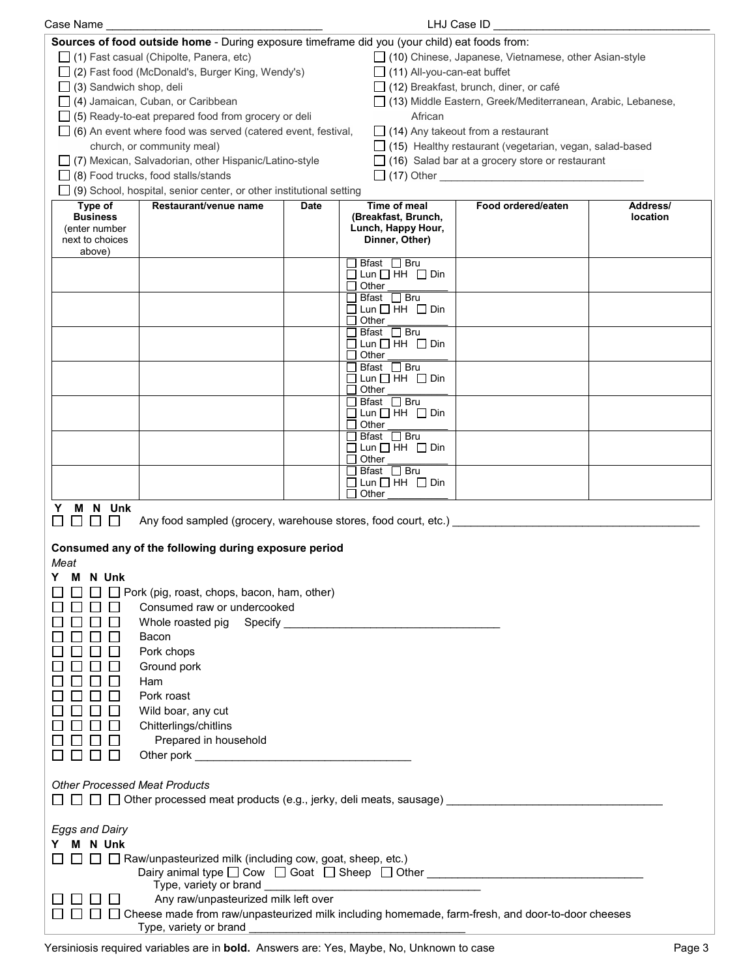| LHJ Case ID<br>Case Name                                                                                  |                                                                                          |             |                                                       |                                                                |          |
|-----------------------------------------------------------------------------------------------------------|------------------------------------------------------------------------------------------|-------------|-------------------------------------------------------|----------------------------------------------------------------|----------|
| Sources of food outside home - During exposure timeframe did you (your child) eat foods from:             |                                                                                          |             |                                                       |                                                                |          |
|                                                                                                           | $\Box$ (1) Fast casual (Chipolte, Panera, etc)                                           |             |                                                       | □ (10) Chinese, Japanese, Vietnamese, other Asian-style        |          |
|                                                                                                           | □ (2) Fast food (McDonald's, Burger King, Wendy's)                                       |             | $\Box$ (11) All-you-can-eat buffet                    |                                                                |          |
| $\Box$ (3) Sandwich shop, deli<br>$\Box$ (12) Breakfast, brunch, diner, or café                           |                                                                                          |             |                                                       |                                                                |          |
| $\Box$ (4) Jamaican, Cuban, or Caribbean<br>□ (13) Middle Eastern, Greek/Mediterranean, Arabic, Lebanese, |                                                                                          |             |                                                       |                                                                |          |
| African<br>$\Box$ (5) Ready-to-eat prepared food from grocery or deli                                     |                                                                                          |             |                                                       |                                                                |          |
|                                                                                                           | $\Box$ (6) An event where food was served (catered event, festival,                      |             |                                                       | $\Box$ (14) Any takeout from a restaurant                      |          |
|                                                                                                           | church, or community meal)                                                               |             |                                                       | $\Box$ (15) Healthy restaurant (vegetarian, vegan, salad-based |          |
|                                                                                                           | □ (7) Mexican, Salvadorian, other Hispanic/Latino-style                                  |             |                                                       | $\Box$ (16) Salad bar at a grocery store or restaurant         |          |
|                                                                                                           | $\Box$ (8) Food trucks, food stalls/stands                                               |             |                                                       |                                                                |          |
|                                                                                                           | (9) School, hospital, senior center, or other institutional setting                      |             |                                                       |                                                                |          |
| Type of                                                                                                   | Restaurant/venue name                                                                    | <b>Date</b> | Time of meal                                          | Food ordered/eaten                                             | Address/ |
| <b>Business</b>                                                                                           |                                                                                          |             | (Breakfast, Brunch,                                   |                                                                | location |
| (enter number<br>next to choices                                                                          |                                                                                          |             | Lunch, Happy Hour,<br>Dinner, Other)                  |                                                                |          |
| above)                                                                                                    |                                                                                          |             |                                                       |                                                                |          |
|                                                                                                           |                                                                                          |             | $\Box$ Bfast $\Box$ Bru                               |                                                                |          |
|                                                                                                           |                                                                                          |             | $\Box$ Lun $\Box$ HH $\Box$ Din<br>$\Box$ Other       |                                                                |          |
|                                                                                                           |                                                                                          |             | $\Box$ Bfast $\Box$ Bru                               |                                                                |          |
|                                                                                                           |                                                                                          |             | $\Box$ Lun $\Box$ HH $\Box$ Din                       |                                                                |          |
|                                                                                                           |                                                                                          |             | Other                                                 |                                                                |          |
|                                                                                                           |                                                                                          |             | Bfast □ Bru<br>$\Box$ Lun $\Box$ HH $\Box$ Din        |                                                                |          |
|                                                                                                           |                                                                                          |             | Other                                                 |                                                                |          |
|                                                                                                           |                                                                                          |             | □ Bfast □ Bru                                         |                                                                |          |
|                                                                                                           |                                                                                          |             | $\Box$ Lun $\Box$ HH $\Box$ Din<br>Other<br>l I       |                                                                |          |
|                                                                                                           |                                                                                          |             | $\Box$ Bfast $\Box$ Bru                               |                                                                |          |
|                                                                                                           |                                                                                          |             | $\Box$ Lun $\Box$ HH $\Box$ Din                       |                                                                |          |
|                                                                                                           |                                                                                          |             | Other<br>l 1<br>Bfast □ Bru                           |                                                                |          |
|                                                                                                           |                                                                                          |             | $\Box$ Lun $\Box$ HH $\Box$ Din                       |                                                                |          |
|                                                                                                           |                                                                                          |             | $\Box$ Other                                          |                                                                |          |
|                                                                                                           |                                                                                          |             | Bfast □ Bru                                           |                                                                |          |
|                                                                                                           |                                                                                          |             | $\Box$ Lun $\Box$ HH $\Box$ Din<br>Other              |                                                                |          |
| N Unk<br>М<br>Y                                                                                           |                                                                                          |             |                                                       |                                                                |          |
|                                                                                                           | Any food sampled (grocery, warehouse stores, food court, etc.) _____                     |             |                                                       |                                                                |          |
|                                                                                                           |                                                                                          |             |                                                       |                                                                |          |
|                                                                                                           | Consumed any of the following during exposure period                                     |             |                                                       |                                                                |          |
| Meat                                                                                                      |                                                                                          |             |                                                       |                                                                |          |
| M N Unk                                                                                                   |                                                                                          |             |                                                       |                                                                |          |
| $\Box$ Pork (pig, roast, chops, bacon, ham, other)                                                        |                                                                                          |             |                                                       |                                                                |          |
| Consumed raw or undercooked                                                                               |                                                                                          |             |                                                       |                                                                |          |
|                                                                                                           |                                                                                          |             |                                                       |                                                                |          |
| Bacon                                                                                                     |                                                                                          |             |                                                       |                                                                |          |
| Pork chops                                                                                                |                                                                                          |             |                                                       |                                                                |          |
| Ground pork                                                                                               |                                                                                          |             |                                                       |                                                                |          |
| Ham                                                                                                       |                                                                                          |             |                                                       |                                                                |          |
| Pork roast                                                                                                |                                                                                          |             |                                                       |                                                                |          |
| Wild boar, any cut                                                                                        |                                                                                          |             |                                                       |                                                                |          |
|                                                                                                           | Chitterlings/chitlins                                                                    |             |                                                       |                                                                |          |
|                                                                                                           | Prepared in household                                                                    |             |                                                       |                                                                |          |
|                                                                                                           |                                                                                          |             |                                                       |                                                                |          |
| <b>Other Processed Meat Products</b>                                                                      |                                                                                          |             |                                                       |                                                                |          |
|                                                                                                           |                                                                                          |             |                                                       |                                                                |          |
| $\Box$ $\Box$ Other processed meat products (e.g., jerky, deli meats, sausage) _________________________  |                                                                                          |             |                                                       |                                                                |          |
| <b>Eggs and Dairy</b>                                                                                     |                                                                                          |             |                                                       |                                                                |          |
| Y M N Unk                                                                                                 |                                                                                          |             |                                                       |                                                                |          |
|                                                                                                           | □ □ Raw/unpasteurized milk (including cow, goat, sheep, etc.)                            |             |                                                       |                                                                |          |
|                                                                                                           | Dairy animal type $\square$ Cow $\square$ Goat $\square$ Sheep $\square$ Other $\square$ |             |                                                       |                                                                |          |
|                                                                                                           | Type, variety or brand                                                                   |             | <u> 1989 - Johann Stoff, fransk politik (d. 1989)</u> |                                                                |          |
|                                                                                                           | Any raw/unpasteurized milk left over                                                     |             |                                                       |                                                                |          |
| ◯ Cheese made from raw/unpasteurized milk including homemade, farm-fresh, and door-to-door cheeses        |                                                                                          |             |                                                       |                                                                |          |
| Type, variety or brand                                                                                    |                                                                                          |             |                                                       |                                                                |          |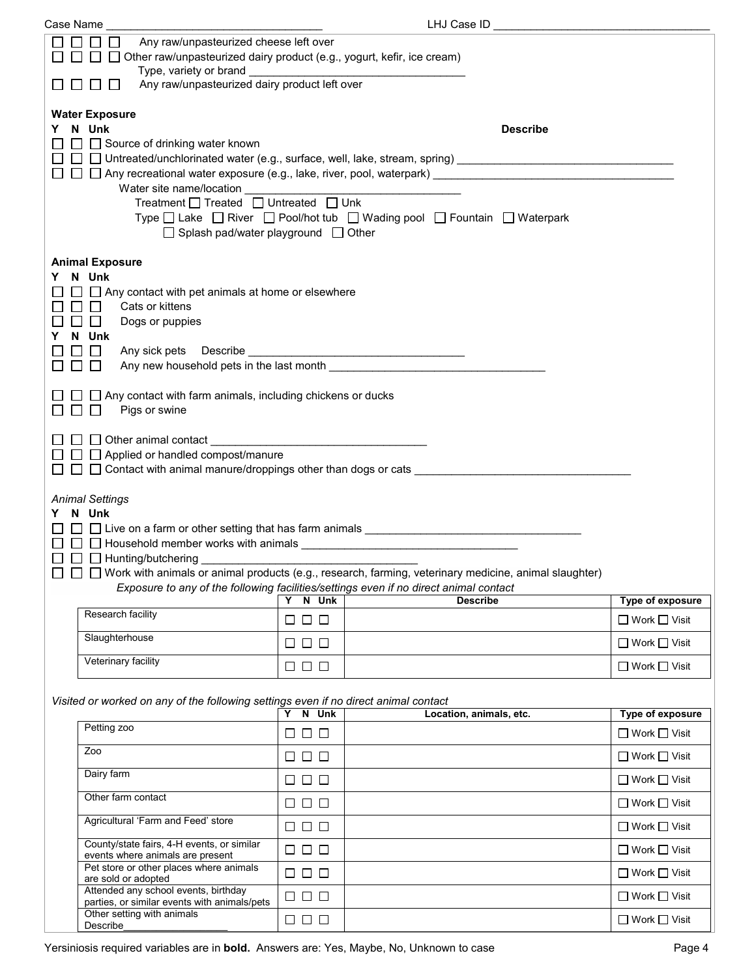| Case Name                                                                                                                                                                                                                     |                                                                                                                                                                                                                                |                                 | LHJ Case ID                                                                                                                                                                                                                       |                                                     |  |
|-------------------------------------------------------------------------------------------------------------------------------------------------------------------------------------------------------------------------------|--------------------------------------------------------------------------------------------------------------------------------------------------------------------------------------------------------------------------------|---------------------------------|-----------------------------------------------------------------------------------------------------------------------------------------------------------------------------------------------------------------------------------|-----------------------------------------------------|--|
|                                                                                                                                                                                                                               | $\Box$<br>$\Box$<br>Any raw/unpasteurized cheese left over<br>□ Other raw/unpasteurized dairy product (e.g., yogurt, kefir, ice cream)                                                                                         |                                 |                                                                                                                                                                                                                                   |                                                     |  |
|                                                                                                                                                                                                                               | Any raw/unpasteurized dairy product left over<br>$\mathbf{L}$                                                                                                                                                                  |                                 |                                                                                                                                                                                                                                   |                                                     |  |
|                                                                                                                                                                                                                               | <b>Water Exposure</b><br>Y N Unk<br><b>Describe</b><br>$\Box$ Source of drinking water known<br>$\Box~\Box~\Box$ Untreated/unchlorinated water (e.g., surface, well, lake, stream, spring) ___________________________________ |                                 |                                                                                                                                                                                                                                   |                                                     |  |
|                                                                                                                                                                                                                               | Treatment □ Treated □ Untreated □ Unk<br>$\Box$ Splash pad/water playground $\Box$ Other                                                                                                                                       |                                 | Type □ Lake □ River □ Pool/hot tub □ Wading pool □ Fountain □ Waterpark                                                                                                                                                           |                                                     |  |
|                                                                                                                                                                                                                               | <b>Animal Exposure</b><br>Y N Unk<br>$\Box$ Any contact with pet animals at home or elsewhere<br>$\Box$ $\Box$<br>Cats or kittens<br>$\square$ $\square$<br>Dogs or puppies<br>Y N Unk<br>□□<br>$\Box$                         |                                 |                                                                                                                                                                                                                                   |                                                     |  |
|                                                                                                                                                                                                                               | $\Box$ Any contact with farm animals, including chickens or ducks<br>Pigs or swine<br><b>TELEVISION</b>                                                                                                                        |                                 |                                                                                                                                                                                                                                   |                                                     |  |
| $\Box$ $\Box$ Applied or handled compost/manure<br>$\Box$ $\Box$ $\Box$ Contact with animal manure/droppings other than dogs or cats $\Box$ $\Box$ . The contract with animal manure/droppings other than dogs or cats $\Box$ |                                                                                                                                                                                                                                |                                 |                                                                                                                                                                                                                                   |                                                     |  |
|                                                                                                                                                                                                                               |                                                                                                                                                                                                                                |                                 |                                                                                                                                                                                                                                   |                                                     |  |
|                                                                                                                                                                                                                               | <b>Animal Settings</b><br>Y N Unk<br>$\Box$ $\Box$ $\Box$ Household member works with animals _________________________________<br>$\square \ \square \ \square$ Hunting/butchering ___________                                |                                 | $\Box$ $\Box$ $\Box$ Live on a farm or other setting that has farm animals _______________________________<br>$\Box$ $\Box$ Work with animals or animal products (e.g., research, farming, veterinary medicine, animal slaughter) |                                                     |  |
|                                                                                                                                                                                                                               |                                                                                                                                                                                                                                |                                 | Exposure to any of the following facilities/settings even if no direct animal contact                                                                                                                                             |                                                     |  |
|                                                                                                                                                                                                                               | Research facility                                                                                                                                                                                                              | Y N Unk<br>$\Box$ $\Box$ $\Box$ | <b>Describe</b>                                                                                                                                                                                                                   | <b>Type of exposure</b><br>$\Box$ Work $\Box$ Visit |  |
|                                                                                                                                                                                                                               | Slaughterhouse                                                                                                                                                                                                                 | $\Box$ $\Box$ $\Box$            |                                                                                                                                                                                                                                   | $\Box$ Work $\Box$ Visit                            |  |
|                                                                                                                                                                                                                               | Veterinary facility                                                                                                                                                                                                            | $\Box$ $\Box$ $\Box$            |                                                                                                                                                                                                                                   | $\Box$ Work $\Box$ Visit                            |  |
|                                                                                                                                                                                                                               |                                                                                                                                                                                                                                |                                 |                                                                                                                                                                                                                                   |                                                     |  |
|                                                                                                                                                                                                                               | Visited or worked on any of the following settings even if no direct animal contact                                                                                                                                            | Y N Unk                         |                                                                                                                                                                                                                                   |                                                     |  |
|                                                                                                                                                                                                                               | Petting zoo                                                                                                                                                                                                                    | $\Box$ $\Box$ $\Box$            | Location, animals, etc.                                                                                                                                                                                                           | <b>Type of exposure</b><br>$\Box$ Work $\Box$ Visit |  |
|                                                                                                                                                                                                                               | Zoo                                                                                                                                                                                                                            | $\Box$ $\Box$ $\Box$            |                                                                                                                                                                                                                                   | $\Box$ Work $\Box$ Visit                            |  |
|                                                                                                                                                                                                                               | Dairy farm                                                                                                                                                                                                                     | $\Box$ $\Box$ $\Box$            |                                                                                                                                                                                                                                   | $\Box$ Work $\Box$ Visit                            |  |
|                                                                                                                                                                                                                               | Other farm contact                                                                                                                                                                                                             | $\Box$ $\Box$ $\Box$            |                                                                                                                                                                                                                                   | $\Box$ Work $\Box$ Visit                            |  |
|                                                                                                                                                                                                                               | Agricultural 'Farm and Feed' store                                                                                                                                                                                             | $\Box$ $\Box$ $\Box$            |                                                                                                                                                                                                                                   | $\Box$ Work $\Box$ Visit                            |  |
|                                                                                                                                                                                                                               | County/state fairs, 4-H events, or similar<br>events where animals are present                                                                                                                                                 | $\Box$ $\Box$ $\Box$            |                                                                                                                                                                                                                                   | $\Box$ Work $\Box$ Visit                            |  |
|                                                                                                                                                                                                                               | Pet store or other places where animals<br>are sold or adopted                                                                                                                                                                 | $\Box$ $\Box$ $\Box$            |                                                                                                                                                                                                                                   | $\Box$ Work $\Box$ Visit                            |  |
|                                                                                                                                                                                                                               | Attended any school events, birthday<br>parties, or similar events with animals/pets<br>Other setting with animals                                                                                                             | $\Box$ $\Box$ $\Box$            |                                                                                                                                                                                                                                   | $\Box$ Work $\Box$ Visit                            |  |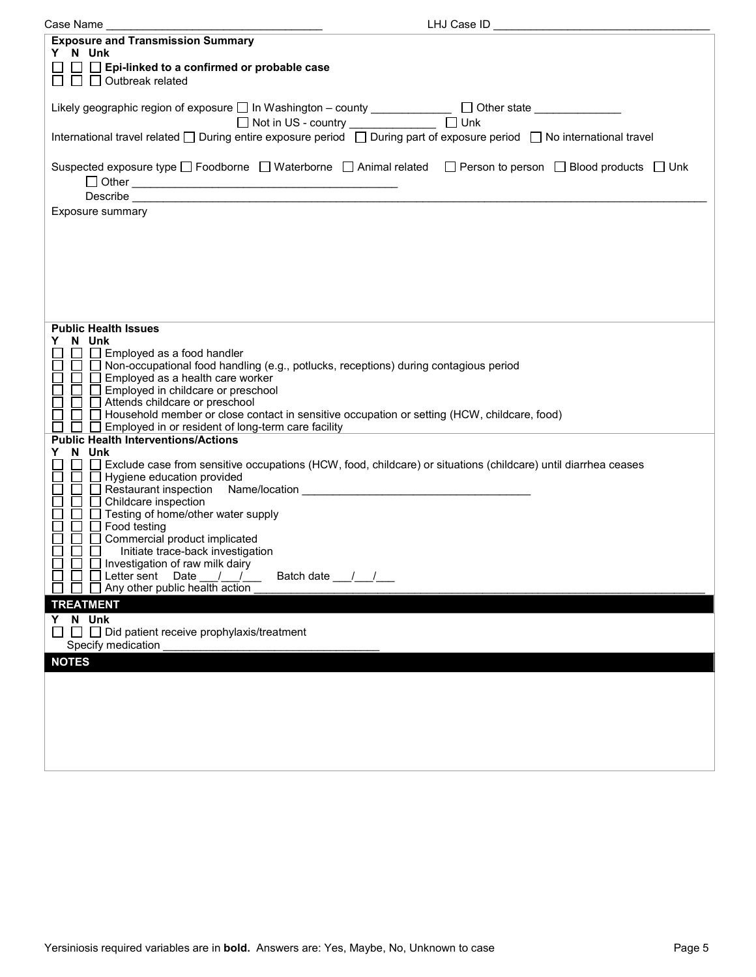| LHJ Case ID<br>Case Name                                                                                                                                   |  |
|------------------------------------------------------------------------------------------------------------------------------------------------------------|--|
| <b>Exposure and Transmission Summary</b><br>Y N Unk                                                                                                        |  |
| $\Box$ Epi-linked to a confirmed or probable case<br>$\Box$ $\Box$ Outbreak related                                                                        |  |
| Likely geographic region of exposure □ In Washington - county _____________ □ Other state __________<br>$\Box$ Unk<br>□ Not in US - country ______________ |  |
| International travel related □ During entire exposure period □ During part of exposure period □ No international travel                                    |  |
| Suspected exposure type □ Foodborne □ Waterborne □ Animal related □ Person to person □ Blood products □ Unk                                                |  |
|                                                                                                                                                            |  |
| Exposure summary                                                                                                                                           |  |
|                                                                                                                                                            |  |
|                                                                                                                                                            |  |
|                                                                                                                                                            |  |
|                                                                                                                                                            |  |
|                                                                                                                                                            |  |
|                                                                                                                                                            |  |
|                                                                                                                                                            |  |
| <b>Public Health Issues</b>                                                                                                                                |  |
| Y N Unk<br>Employed as a food handler<br>$\Box$                                                                                                            |  |
| □ Non-occupational food handling (e.g., potlucks, receptions) during contagious period                                                                     |  |
| $\Box$ $\Box$ Employed as a health care worker                                                                                                             |  |
| $\Box$<br>Employed in childcare or preschool                                                                                                               |  |
| Attends childcare or preschool                                                                                                                             |  |
| □ Household member or close contact in sensitive occupation or setting (HCW, childcare, food)                                                              |  |
| Employed in or resident of long-term care facility                                                                                                         |  |
| <b>Public Health Interventions/Actions</b><br>N Unk<br>Y.                                                                                                  |  |
| Exclude case from sensitive occupations (HCW, food, childcare) or situations (childcare) until diarrhea ceases                                             |  |
| $\Box$ Hygiene education provided                                                                                                                          |  |
| Restaurant inspection Name/location Changes and Changes and Restaurance Changes and Restaurance Changes and Re                                             |  |
| Childcare inspection                                                                                                                                       |  |
| Testing of home/other water supply                                                                                                                         |  |
| Food testing                                                                                                                                               |  |
| Commercial product implicated<br>Initiate trace-back investigation                                                                                         |  |
| Investigation of raw milk dairy                                                                                                                            |  |
| Batch date ///<br>$\Box$ Letter sent Date<br>$\frac{1}{2}$                                                                                                 |  |
| Any other public health action<br>$\perp$                                                                                                                  |  |
| <b>TREATMENT</b>                                                                                                                                           |  |
| Y N Unk                                                                                                                                                    |  |
| $\Box$ $\Box$ Did patient receive prophylaxis/treatment                                                                                                    |  |
| Specify medication                                                                                                                                         |  |
| <b>NOTES</b>                                                                                                                                               |  |
|                                                                                                                                                            |  |
|                                                                                                                                                            |  |
|                                                                                                                                                            |  |
|                                                                                                                                                            |  |
|                                                                                                                                                            |  |
|                                                                                                                                                            |  |
|                                                                                                                                                            |  |